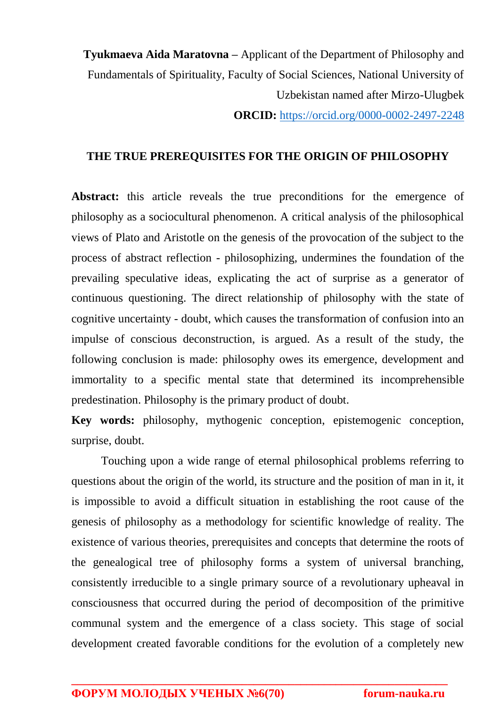**Tyukmaeva Aida Maratovna –** Applicant of the Department of Philosophy and Fundamentals of Spirituality, Faculty of Social Sciences, National University of Uzbekistan named after Mirzo-Ulugbek **ORCID:** <https://orcid.org/0000-0002-2497-2248>

## **THE TRUE PREREQUISITES FOR THE ORIGIN OF PHILOSOPHY**

Abstract: this article reveals the true preconditions for the emergence of philosophy as a sociocultural phenomenon. A critical analysis of the philosophical views of Plato and Aristotle on the genesis of the provocation of the subject to the process of abstract reflection - philosophizing, undermines the foundation of the prevailing speculative ideas, explicating the act of surprise as a generator of continuous questioning. The direct relationship of philosophy with the state of cognitive uncertainty - doubt, which causes the transformation of confusion into an impulse of conscious deconstruction, is argued. As a result of the study, the following conclusion is made: philosophy owes its emergence, development and immortality to a specific mental state that determined its incomprehensible predestination. Philosophy is the primary product of doubt.

**Key words:** philosophy, mythogenic conception, epistemogenic conception, surprise, doubt.

Touching upon a wide range of eternal philosophical problems referring to questions about the origin of the world, its structure and the position of man in it, it is impossible to avoid a difficult situation in establishing the root cause of the genesis of philosophy as a methodology for scientific knowledge of reality. The existence of various theories, prerequisites and concepts that determine the roots of the genealogical tree of philosophy forms a system of universal branching, consistently irreducible to a single primary source of a revolutionary upheaval in consciousness that occurred during the period of decomposition of the primitive communal system and the emergence of a class society. This stage of social development created favorable conditions for the evolution of a completely new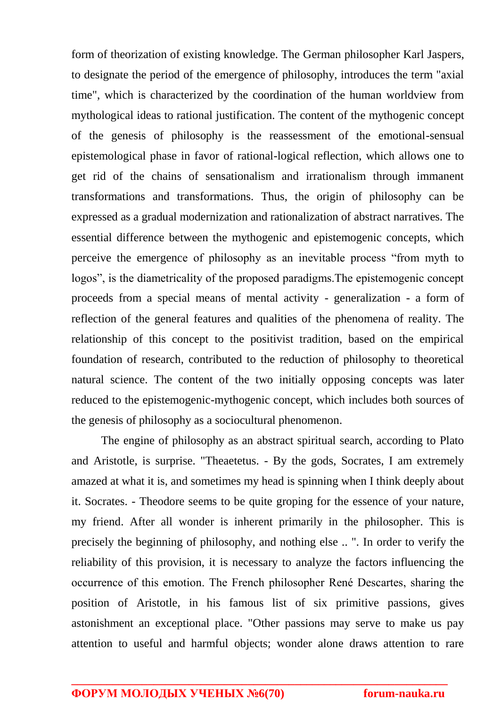form of theorization of existing knowledge. The German philosopher Karl Jaspers, to designate the period of the emergence of philosophy, introduces the term "axial time", which is characterized by the coordination of the human worldview from mythological ideas to rational justification. The content of the mythogenic concept of the genesis of philosophy is the reassessment of the emotional-sensual epistemological phase in favor of rational-logical reflection, which allows one to get rid of the chains of sensationalism and irrationalism through immanent transformations and transformations. Thus, the origin of philosophy can be expressed as a gradual modernization and rationalization of abstract narratives. The essential difference between the mythogenic and epistemogenic concepts, which perceive the emergence of philosophy as an inevitable process "from myth to logos", is the diametricality of the proposed paradigms.The epistemogenic concept proceeds from a special means of mental activity - generalization - a form of reflection of the general features and qualities of the phenomena of reality. The relationship of this concept to the positivist tradition, based on the empirical foundation of research, contributed to the reduction of philosophy to theoretical natural science. The content of the two initially opposing concepts was later reduced to the epistemogenic-mythogenic concept, which includes both sources of the genesis of philosophy as a sociocultural phenomenon.

The engine of philosophy as an abstract spiritual search, according to Plato and Aristotle, is surprise. "Theaetetus. - By the gods, Socrates, I am extremely amazed at what it is, and sometimes my head is spinning when I think deeply about it. Socrates. - Theodore seems to be quite groping for the essence of your nature, my friend. After all wonder is inherent primarily in the philosopher. This is precisely the beginning of philosophy, and nothing else .. ". In order to verify the reliability of this provision, it is necessary to analyze the factors influencing the occurrence of this emotion. The French philosopher René Descartes, sharing the position of Aristotle, in his famous list of six primitive passions, gives astonishment an exceptional place. "Other passions may serve to make us pay attention to useful and harmful objects; wonder alone draws attention to rare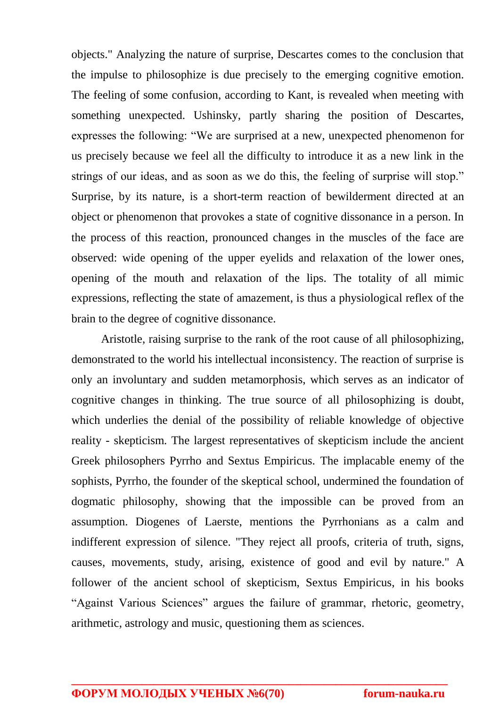objects." Analyzing the nature of surprise, Descartes comes to the conclusion that the impulse to philosophize is due precisely to the emerging cognitive emotion. The feeling of some confusion, according to Kant, is revealed when meeting with something unexpected. Ushinsky, partly sharing the position of Descartes, expresses the following: "We are surprised at a new, unexpected phenomenon for us precisely because we feel all the difficulty to introduce it as a new link in the strings of our ideas, and as soon as we do this, the feeling of surprise will stop." Surprise, by its nature, is a short-term reaction of bewilderment directed at an object or phenomenon that provokes a state of cognitive dissonance in a person. In the process of this reaction, pronounced changes in the muscles of the face are observed: wide opening of the upper eyelids and relaxation of the lower ones, opening of the mouth and relaxation of the lips. The totality of all mimic expressions, reflecting the state of amazement, is thus a physiological reflex of the brain to the degree of cognitive dissonance.

Aristotle, raising surprise to the rank of the root cause of all philosophizing, demonstrated to the world his intellectual inconsistency. The reaction of surprise is only an involuntary and sudden metamorphosis, which serves as an indicator of cognitive changes in thinking. The true source of all philosophizing is doubt, which underlies the denial of the possibility of reliable knowledge of objective reality - skepticism. The largest representatives of skepticism include the ancient Greek philosophers Pyrrho and Sextus Empiricus. The implacable enemy of the sophists, Pyrrho, the founder of the skeptical school, undermined the foundation of dogmatic philosophy, showing that the impossible can be proved from an assumption. Diogenes of Laerste, mentions the Pyrrhonians as a calm and indifferent expression of silence. "They reject all proofs, criteria of truth, signs, causes, movements, study, arising, existence of good and evil by nature." A follower of the ancient school of skepticism, Sextus Empiricus, in his books "Against Various Sciences" argues the failure of grammar, rhetoric, geometry, arithmetic, astrology and music, questioning them as sciences.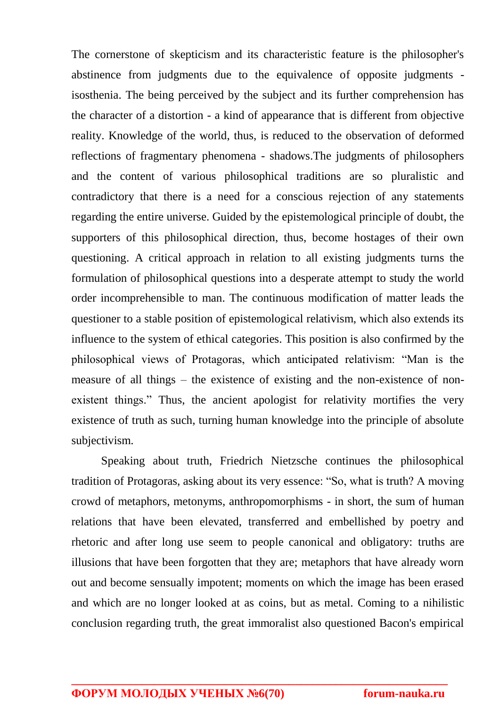The cornerstone of skepticism and its characteristic feature is the philosopher's abstinence from judgments due to the equivalence of opposite judgments isosthenia. The being perceived by the subject and its further comprehension has the character of a distortion - a kind of appearance that is different from objective reality. Knowledge of the world, thus, is reduced to the observation of deformed reflections of fragmentary phenomena - shadows.The judgments of philosophers and the content of various philosophical traditions are so pluralistic and contradictory that there is a need for a conscious rejection of any statements regarding the entire universe. Guided by the epistemological principle of doubt, the supporters of this philosophical direction, thus, become hostages of their own questioning. A critical approach in relation to all existing judgments turns the formulation of philosophical questions into a desperate attempt to study the world order incomprehensible to man. The continuous modification of matter leads the questioner to a stable position of epistemological relativism, which also extends its influence to the system of ethical categories. This position is also confirmed by the philosophical views of Protagoras, which anticipated relativism: "Man is the measure of all things – the existence of existing and the non-existence of nonexistent things." Thus, the ancient apologist for relativity mortifies the very existence of truth as such, turning human knowledge into the principle of absolute subjectivism.

Speaking about truth, Friedrich Nietzsche continues the philosophical tradition of Protagoras, asking about its very essence: "So, what is truth? A moving crowd of metaphors, metonyms, anthropomorphisms - in short, the sum of human relations that have been elevated, transferred and embellished by poetry and rhetoric and after long use seem to people canonical and obligatory: truths are illusions that have been forgotten that they are; metaphors that have already worn out and become sensually impotent; moments on which the image has been erased and which are no longer looked at as coins, but as metal. Coming to a nihilistic conclusion regarding truth, the great immoralist also questioned Bacon's empirical